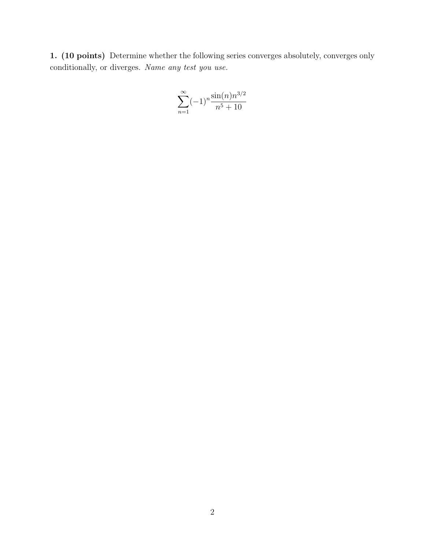1. (10 points) Determine whether the following series converges absolutely, converges only conditionally, or diverges. Name any test you use.

$$
\sum_{n=1}^{\infty} (-1)^n \frac{\sin(n) n^{3/2}}{n^5 + 10}
$$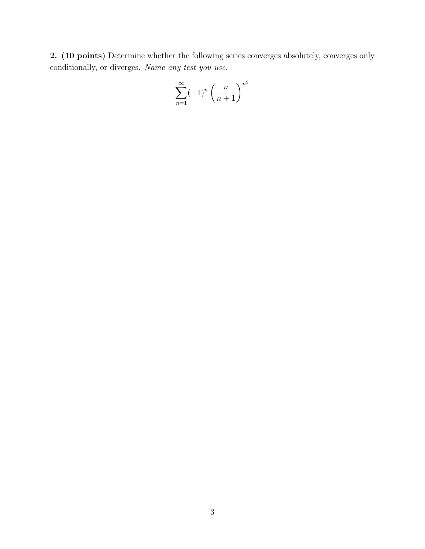2. (10 points) Determine whether the following series converges absolutely, converges only conditionally, or diverges. Name any test you use.

$$
\sum_{n=1}^{\infty} (-1)^n \left(\frac{n}{n+1}\right)^{n^2}
$$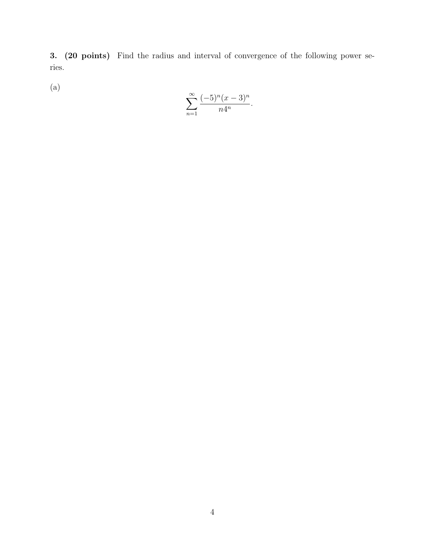3. (20 points) Find the radius and interval of convergence of the following power series.

 $(a)$ 

$$
\sum_{n=1}^{\infty} \frac{(-5)^n (x-3)^n}{n4^n}.
$$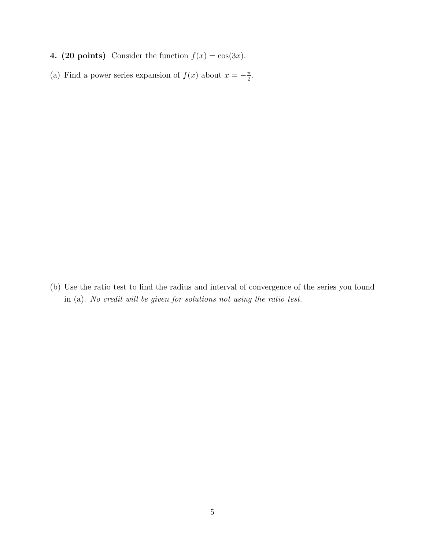- 4. (20 points) Consider the function  $f(x) = \cos(3x)$ .
- (a) Find a power series expansion of  $f(x)$  about  $x = -\frac{\pi}{2}$ .

(b) Use the ratio test to find the radius and interval of convergence of the series you found in (a). *No credit will be given for solutions not using the ratio test.*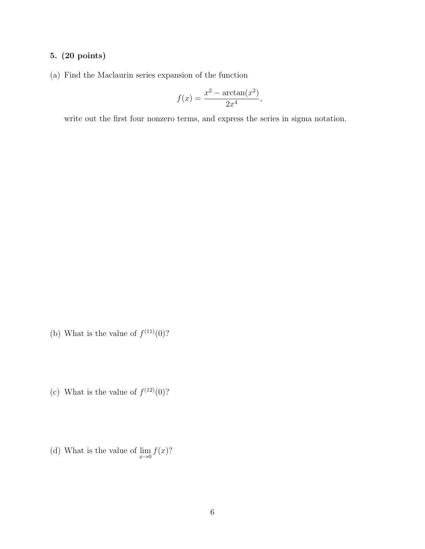## 5. (20 points)

(a) Find the Maclaurin series expansion of the function

$$
f(x) = \frac{x^2 - \arctan(x^2)}{2x^4},
$$

write out the first four nonzero terms, and express the series in sigma notation.

- (b) What is the value of  $f^{(11)}(0)$ ?
- (c) What is the value of  $f^{(12)}(0)$ ?
- (d) What is the value of  $\lim_{x\to 0} f(x)$ ?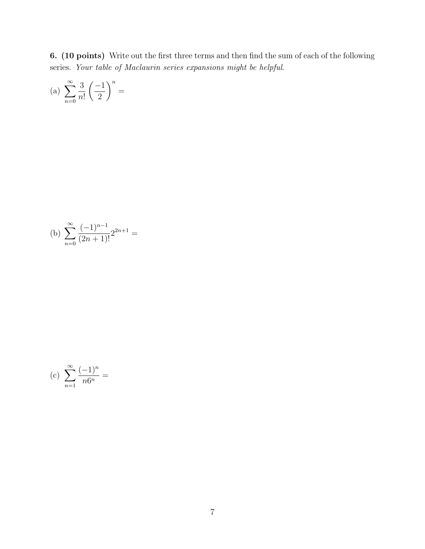6. (10 points) Write out the first three terms and then find the sum of each of the following series. *Your table of Maclaurin series expansions might be helpful*.

(a) 
$$
\sum_{n=0}^{\infty} \frac{3}{n!} \left(\frac{-1}{2}\right)^n =
$$

(b) 
$$
\sum_{n=0}^{\infty} \frac{(-1)^{n-1}}{(2n+1)!} 2^{2n+1} =
$$

(c) 
$$
\sum_{n=1}^{\infty} \frac{(-1)^n}{n6^n} =
$$